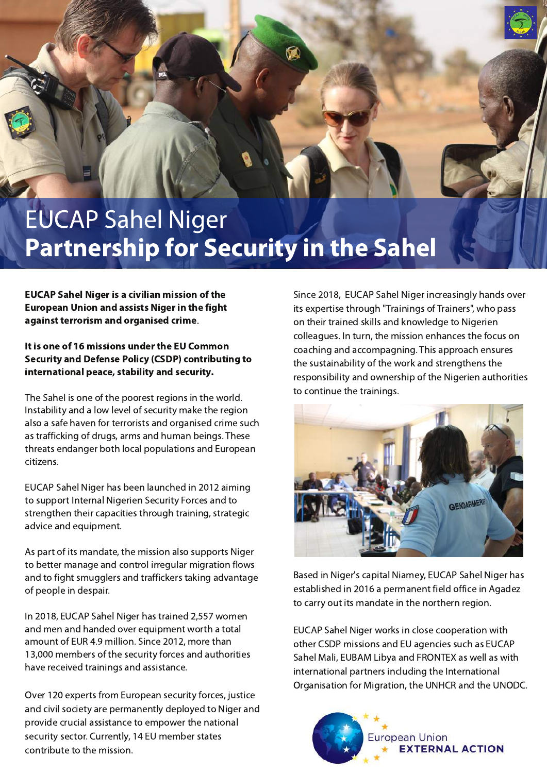## **EUCAP Sahel Niger Partnership for Security in the Sahel**

**EUCAP Sahel Niger is a civilian mission of the European Union and assists Niger in the fight** against terrorism and organised crime.

It is one of 16 missions under the EU Common **Security and Defense Policy (CSDP) contributing to** international peace, stability and security.

The Sahel is one of the poorest regions in the world. Instability and a low level of security make the region also a safe haven for terrorists and organised crime such as trafficking of drugs, arms and human beings. These threats endanger both local populations and European citizens.

EUCAP Sahel Niger has been launched in 2012 aiming to support Internal Nigerien Security Forces and to strengthen their capacities through training, strategic advice and equipment.

As part of its mandate, the mission also supports Niger to better manage and control irregular migration flows and to fight smugglers and traffickers taking advantage of people in despair.

In 2018, EUCAP Sahel Niger has trained 2,557 women and men and handed over equipment worth a total amount of EUR 4.9 million. Since 2012, more than 13,000 members of the security forces and authorities have received trainings and assistance.

Over 120 experts from European security forces, justice and civil society are permanently deployed to Niger and provide crucial assistance to empower the national security sector. Currently, 14 EU member states contribute to the mission.

Since 2018, EUCAP Sahel Niger increasingly hands over its expertise through "Trainings of Trainers", who pass on their trained skills and knowledge to Nigerien colleagues. In turn, the mission enhances the focus on coaching and accompagning. This approach ensures the sustainability of the work and strengthens the responsibility and ownership of the Nigerien authorities to continue the trainings.



Based in Niger's capital Niamey, EUCAP Sahel Niger has established in 2016 a permanent field office in Agadez to carry out its mandate in the northern region.

EUCAP Sahel Niger works in close cooperation with other CSDP missions and EU agencies such as EUCAP Sahel Mali, EUBAM Libya and FRONTEX as well as with international partners including the International Organisation for Migration, the UNHCR and the UNODC.